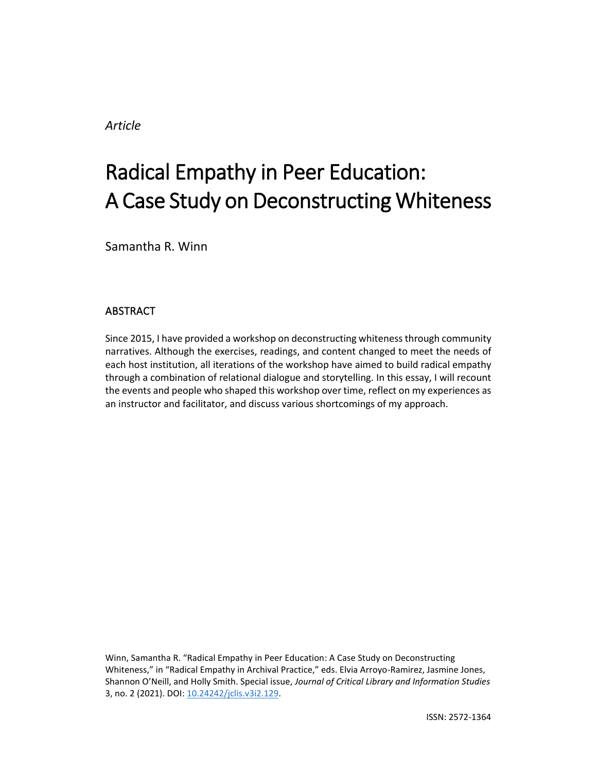*Article*

# Radical Empathy in Peer Education: A Case Study on Deconstructing Whiteness

Samantha R. Winn

## ABSTRACT

Since 2015, I have provided a workshop on deconstructing whiteness through community narratives. Although the exercises, readings, and content changed to meet the needs of each host institution, all iterations of the workshop have aimed to build radical empathy through a combination of relational dialogue and storytelling. In this essay, I will recount the events and people who shaped this workshop over time, reflect on my experiences as an instructor and facilitator, and discuss various shortcomings of my approach.

Winn, Samantha R. "Radical Empathy in Peer Education: A Case Study on Deconstructing Whiteness," in "Radical Empathy in Archival Practice," eds. Elvia Arroyo-Ramirez, Jasmine Jones, Shannon O'Neill, and Holly Smith. Special issue, *Journal of Critical Library and Information Studies*  3, no. 2 (2021). DOI: [10.24242/jclis.v3i2.129.](https://doi.org/10.24242/jclis.v3i2.129)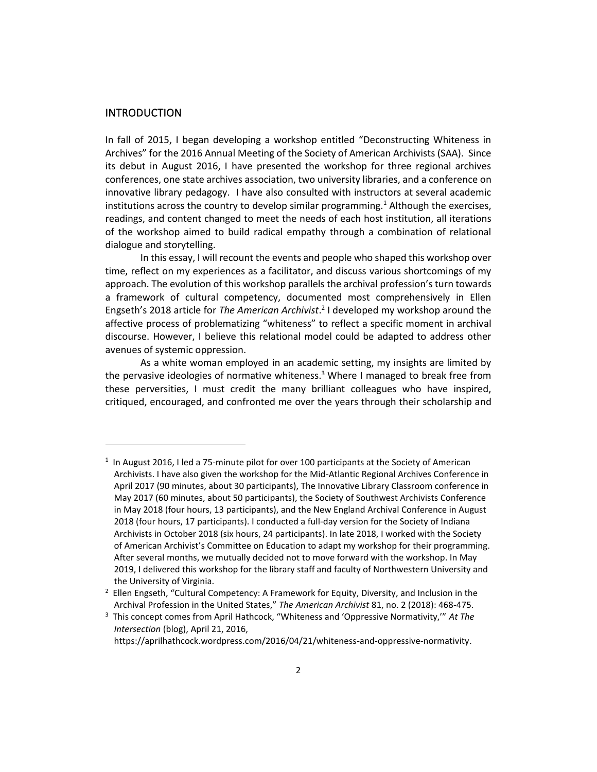#### INTRODUCTION

In fall of 2015, I began developing a workshop entitled "Deconstructing Whiteness in Archives" for the 2016 Annual Meeting of the Society of American Archivists (SAA). Since its debut in August 2016, I have presented the workshop for three regional archives conferences, one state archives association, two university libraries, and a conference on innovative library pedagogy. I have also consulted with instructors at several academic institutions across the country to develop similar programming.<sup>1</sup> Although the exercises, readings, and content changed to meet the needs of each host institution, all iterations of the workshop aimed to build radical empathy through a combination of relational dialogue and storytelling.

In this essay, I will recount the events and people who shaped this workshop over time, reflect on my experiences as a facilitator, and discuss various shortcomings of my approach. The evolution of this workshop parallels the archival profession's turn towards a framework of cultural competency, documented most comprehensively in Ellen Engseth's 2018 article for *The American Archivist*. 2 I developed my workshop around the affective process of problematizing "whiteness" to reflect a specific moment in archival discourse. However, I believe this relational model could be adapted to address other avenues of systemic oppression.

As a white woman employed in an academic setting, my insights are limited by the pervasive ideologies of normative whiteness.<sup>3</sup> Where I managed to break free from these perversities, I must credit the many brilliant colleagues who have inspired, critiqued, encouraged, and confronted me over the years through their scholarship and

 $<sup>1</sup>$  In August 2016, I led a 75-minute pilot for over 100 participants at the Society of American</sup> Archivists. I have also given the workshop for the Mid-Atlantic Regional Archives Conference in April 2017 (90 minutes, about 30 participants), The Innovative Library Classroom conference in May 2017 (60 minutes, about 50 participants), the Society of Southwest Archivists Conference in May 2018 (four hours, 13 participants), and the New England Archival Conference in August 2018 (four hours, 17 participants). I conducted a full-day version for the Society of Indiana Archivists in October 2018 (six hours, 24 participants). In late 2018, I worked with the Society of American Archivist's Committee on Education to adapt my workshop for their programming. After several months, we mutually decided not to move forward with the workshop. In May 2019, I delivered this workshop for the library staff and faculty of Northwestern University and the University of Virginia.

 $2$  Ellen Engseth, "Cultural Competency: A Framework for Equity, Diversity, and Inclusion in the Archival Profession in the United States," *The American Archivist* 81, no. 2 (2018): 468-475.

<sup>3</sup> This concept comes from April Hathcock, "Whiteness and 'Oppressive Normativity,'" *At The Intersection* (blog), April 21, 2016,

https://aprilhathcock.wordpress.com/2016/04/21/whiteness-and-oppressive-normativity.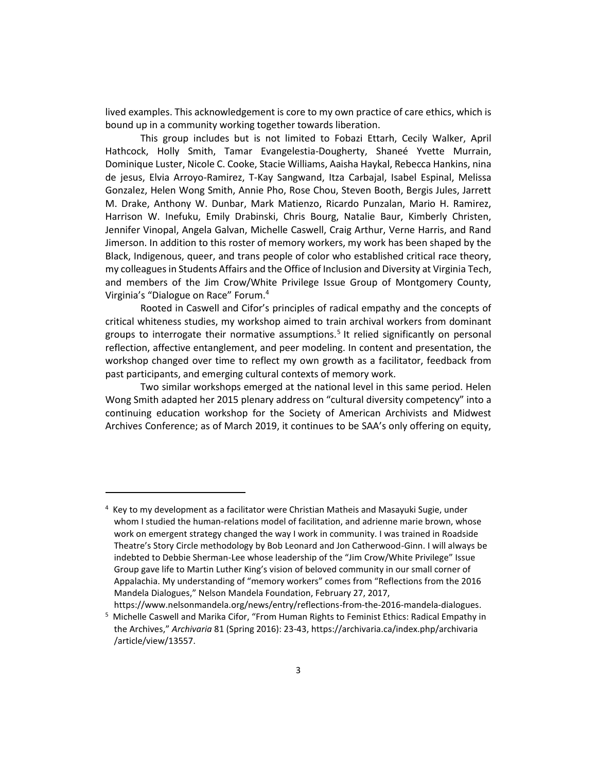lived examples. This acknowledgement is core to my own practice of care ethics, which is bound up in a community working together towards liberation.

This group includes but is not limited to Fobazi Ettarh, Cecily Walker, April Hathcock, Holly Smith, Tamar Evangelestia-Dougherty, Shaneé Yvette Murrain, Dominique Luster, Nicole C. Cooke, Stacie Williams, Aaisha Haykal, Rebecca Hankins, nina de jesus, Elvia Arroyo-Ramirez, T-Kay Sangwand, Itza Carbajal, Isabel Espinal, Melissa Gonzalez, Helen Wong Smith, Annie Pho, Rose Chou, Steven Booth, Bergis Jules, Jarrett M. Drake, Anthony W. Dunbar, Mark Matienzo, Ricardo Punzalan, Mario H. Ramirez, Harrison W. Inefuku, Emily Drabinski, Chris Bourg, Natalie Baur, Kimberly Christen, Jennifer Vinopal, Angela Galvan, Michelle Caswell, Craig Arthur, Verne Harris, and Rand Jimerson. In addition to this roster of memory workers, my work has been shaped by the Black, Indigenous, queer, and trans people of color who established critical race theory, my colleagues in Students Affairs and the Office of Inclusion and Diversity at Virginia Tech, and members of the Jim Crow/White Privilege Issue Group of Montgomery County, Virginia's "Dialogue on Race" Forum.<sup>4</sup>

Rooted in Caswell and Cifor's principles of radical empathy and the concepts of critical whiteness studies, my workshop aimed to train archival workers from dominant groups to interrogate their normative assumptions.<sup>5</sup> It relied significantly on personal reflection, affective entanglement, and peer modeling. In content and presentation, the workshop changed over time to reflect my own growth as a facilitator, feedback from past participants, and emerging cultural contexts of memory work.

Two similar workshops emerged at the national level in this same period. Helen Wong Smith adapted her 2015 plenary address on "cultural diversity competency" into a continuing education workshop for the Society of American Archivists and Midwest Archives Conference; as of March 2019, it continues to be SAA's only offering on equity,

https://www.nelsonmandela.org/news/entry/reflections-from-the-2016-mandela-dialogues.

<sup>&</sup>lt;sup>4</sup> Key to my development as a facilitator were Christian Matheis and Masayuki Sugie, under whom I studied the human-relations model of facilitation, and adrienne marie brown, whose work on emergent strategy changed the way I work in community. I was trained in Roadside Theatre's Story Circle methodology by Bob Leonard and Jon Catherwood-Ginn. I will always be indebted to Debbie Sherman-Lee whose leadership of the "Jim Crow/White Privilege" Issue Group gave life to Martin Luther King's vision of beloved community in our small corner of Appalachia. My understanding of "memory workers" comes from "Reflections from the 2016 Mandela Dialogues," Nelson Mandela Foundation, February 27, 2017,

 $5$  Michelle Caswell and Marika Cifor, "From Human Rights to Feminist Ethics: Radical Empathy in the Archives," *Archivaria* 81 (Spring 2016): 23-43, https://archivaria.ca/index.php/archivaria /article/view/13557.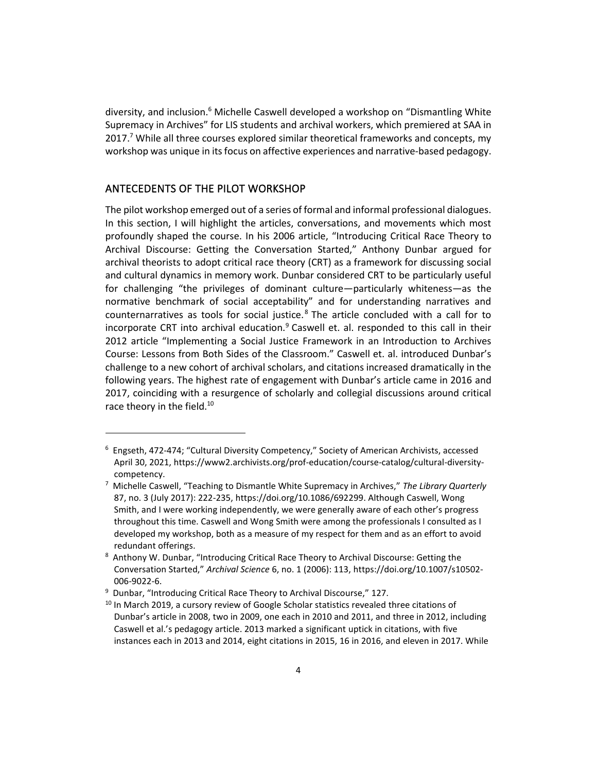diversity, and inclusion.<sup>6</sup> Michelle Caswell developed a workshop on "Dismantling White Supremacy in Archives" for LIS students and archival workers, which premiered at SAA in 2017.<sup>7</sup> While all three courses explored similar theoretical frameworks and concepts, my workshop was unique in its focus on affective experiences and narrative-based pedagogy.

## ANTECEDENTS OF THE PILOT WORKSHOP

The pilot workshop emerged out of a series of formal and informal professional dialogues. In this section, I will highlight the articles, conversations, and movements which most profoundly shaped the course. In his 2006 article, "Introducing Critical Race Theory to Archival Discourse: Getting the Conversation Started," Anthony Dunbar argued for archival theorists to adopt critical race theory (CRT) as a framework for discussing social and cultural dynamics in memory work. Dunbar considered CRT to be particularly useful for challenging "the privileges of dominant culture—particularly whiteness—as the normative benchmark of social acceptability" and for understanding narratives and counternarratives as tools for social justice. $8$  The article concluded with a call for to incorporate CRT into archival education.<sup>9</sup> Caswell et. al. responded to this call in their 2012 article "Implementing a Social Justice Framework in an Introduction to Archives Course: Lessons from Both Sides of the Classroom." Caswell et. al. introduced Dunbar's challenge to a new cohort of archival scholars, and citations increased dramatically in the following years. The highest rate of engagement with Dunbar's article came in 2016 and 2017, coinciding with a resurgence of scholarly and collegial discussions around critical race theory in the field.<sup>10</sup>

 $6$  Engseth, 472-474; "Cultural Diversity Competency," Society of American Archivists, accessed April 30, 2021, https://www2.archivists.org/prof-education/course-catalog/cultural-diversitycompetency.

<sup>7</sup> Michelle Caswell, "Teaching to Dismantle White Supremacy in Archives," *The Library Quarterly* 87, no. 3 (July 2017): 222-235, https://doi.org/10.1086/692299. Although Caswell, Wong Smith, and I were working independently, we were generally aware of each other's progress throughout this time. Caswell and Wong Smith were among the professionals I consulted as I developed my workshop, both as a measure of my respect for them and as an effort to avoid redundant offerings.

<sup>8</sup> Anthony W. Dunbar, "Introducing Critical Race Theory to Archival Discourse: Getting the Conversation Started," *Archival Science* 6, no. 1 (2006): 113, https://doi.org/10.1007/s10502- 006-9022-6.

<sup>&</sup>lt;sup>9</sup> Dunbar, "Introducing Critical Race Theory to Archival Discourse," 127.

<sup>&</sup>lt;sup>10</sup> In March 2019, a cursory review of Google Scholar statistics revealed three citations of Dunbar's article in 2008, two in 2009, one each in 2010 and 2011, and three in 2012, including Caswell et al.'s pedagogy article. 2013 marked a significant uptick in citations, with five instances each in 2013 and 2014, eight citations in 2015, 16 in 2016, and eleven in 2017. While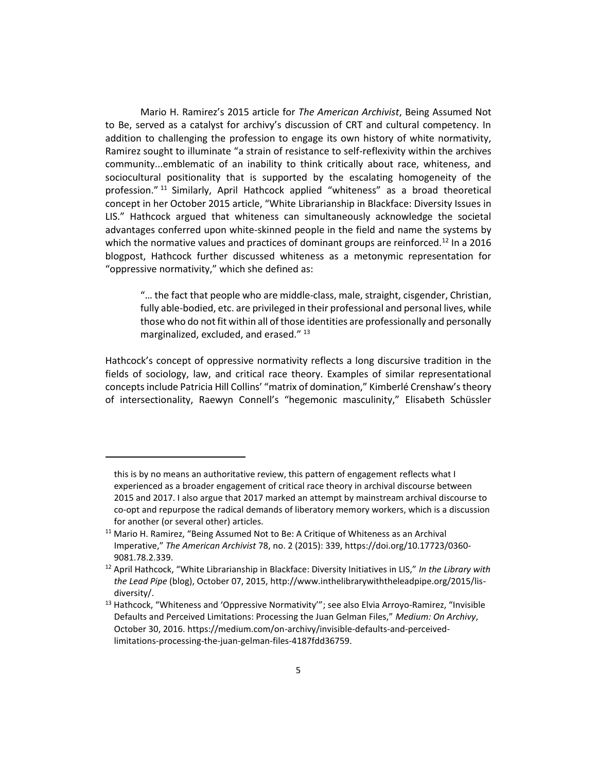Mario H. Ramirez's 2015 article for *The American Archivist*, Being Assumed Not to Be, served as a catalyst for archivy's discussion of CRT and cultural competency. In addition to challenging the profession to engage its own history of white normativity, Ramirez sought to illuminate "a strain of resistance to self-reflexivity within the archives community...emblematic of an inability to think critically about race, whiteness, and sociocultural positionality that is supported by the escalating homogeneity of the profession."<sup>11</sup> Similarly, April Hathcock applied "whiteness" as a broad theoretical concept in her October 2015 article, "White Librarianship in Blackface: Diversity Issues in LIS." Hathcock argued that whiteness can simultaneously acknowledge the societal advantages conferred upon white-skinned people in the field and name the systems by which the normative values and practices of dominant groups are reinforced.<sup>12</sup> In a 2016 blogpost, Hathcock further discussed whiteness as a metonymic representation for "oppressive normativity," which she defined as:

"… the fact that people who are middle-class, male, straight, cisgender, Christian, fully able-bodied, etc. are privileged in their professional and personal lives, while those who do not fit within all of those identities are professionally and personally marginalized, excluded, and erased." <sup>13</sup>

Hathcock's concept of oppressive normativity reflects a long discursive tradition in the fields of sociology, law, and critical race theory. Examples of similar representational concepts include Patricia Hill Collins' "matrix of domination," Kimberlé Crenshaw's theory of intersectionality, Raewyn Connell's "hegemonic masculinity," Elisabeth Schüssler

this is by no means an authoritative review, this pattern of engagement reflects what I experienced as a broader engagement of critical race theory in archival discourse between 2015 and 2017. I also argue that 2017 marked an attempt by mainstream archival discourse to co-opt and repurpose the radical demands of liberatory memory workers, which is a discussion for another (or several other) articles.

 $11$  Mario H. Ramirez, "Being Assumed Not to Be: A Critique of Whiteness as an Archival Imperative," *The American Archivist* 78, no. 2 (2015): 339, https://doi.org/10.17723/0360- 9081.78.2.339.

<sup>12</sup> April Hathcock, "White Librarianship in Blackface: Diversity Initiatives in LIS," *In the Library with the Lead Pipe* (blog), October 07, 2015, http://www.inthelibrarywiththeleadpipe.org/2015/lisdiversity/.

<sup>&</sup>lt;sup>13</sup> Hathcock, "Whiteness and 'Oppressive Normativity"; see also Elvia Arroyo-Ramirez, "Invisible Defaults and Perceived Limitations: Processing the Juan Gelman Files," *Medium: On Archivy*, October 30, 2016. https://medium.com/on-archivy/invisible-defaults-and-perceivedlimitations-processing-the-juan-gelman-files-4187fdd36759.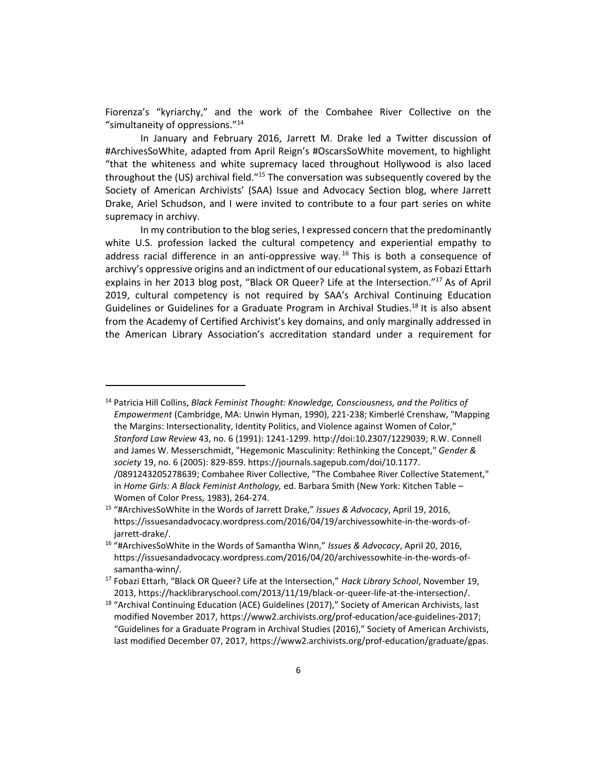Fiorenza's "kyriarchy," and the work of the Combahee River Collective on the "simultaneity of oppressions." 14

In January and February 2016, Jarrett M. Drake led a Twitter discussion of #ArchivesSoWhite, adapted from April Reign's #OscarsSoWhite movement, to highlight "that the whiteness and white supremacy laced throughout Hollywood is also laced throughout the (US) archival field." $15$  The conversation was subsequently covered by the Society of American Archivists' (SAA) Issue and Advocacy Section blog, where Jarrett Drake, Ariel Schudson, and I were invited to contribute to a four part series on white supremacy in archivy.

In my contribution to the blog series, I expressed concern that the predominantly white U.S. profession lacked the cultural competency and experiential empathy to address racial difference in an anti-oppressive way.<sup>16</sup> This is both a consequence of archivy's oppressive origins and an indictment of our educational system, as Fobazi Ettarh explains in her 2013 blog post, "Black OR Queer? Life at the Intersection."<sup>17</sup> As of April 2019, cultural competency is not required by SAA's Archival Continuing Education Guidelines or Guidelines for a Graduate Program in Archival Studies.<sup>18</sup> It is also absent from the Academy of Certified Archivist's key domains, and only marginally addressed in the American Library Association's accreditation standard under a requirement for

<sup>14</sup> Patricia Hill Collins, *Black Feminist Thought: Knowledge, Consciousness, and the Politics of Empowerment* (Cambridge, MA: Unwin Hyman, 1990), 221-238; Kimberlé Crenshaw, "Mapping the Margins: Intersectionality, Identity Politics, and Violence against Women of Color," *Stanford Law Review* 43, no. 6 (1991): 1241-1299. http://doi:10.2307/1229039; R.W. Connell and James W. Messerschmidt, "Hegemonic Masculinity: Rethinking the Concept," *Gender & society* 19, no. 6 (2005): 829-859. https://journals.sagepub.com/doi/10.1177. /0891243205278639; Combahee River Collective, "The Combahee River Collective Statement," in *Home Girls: A Black Feminist Anthology,* ed. Barbara Smith (New York: Kitchen Table – Women of Color Press*,* 1983), 264-274.

<sup>15</sup> "#ArchivesSoWhite in the Words of Jarrett Drake," *Issues & Advocacy*, April 19, 2016, https://issuesandadvocacy.wordpress.com/2016/04/19/archivessowhite-in-the-words-ofjarrett-drake/.

<sup>16</sup> "#ArchivesSoWhite in the Words of Samantha Winn," *Issues & Advocacy*, April 20, 2016, https://issuesandadvocacy.wordpress.com/2016/04/20/archivessowhite-in-the-words-ofsamantha-winn/.

<sup>17</sup> Fobazi Ettarh, "Black OR Queer? Life at the Intersection," *Hack Library School*, November 19, 2013, https://hacklibraryschool.com/2013/11/19/black-or-queer-life-at-the-intersection/.

<sup>&</sup>lt;sup>18</sup> "Archival Continuing Education (ACE) Guidelines (2017)," Society of American Archivists, last modified November 2017, https://www2.archivists.org/prof-education/ace-guidelines-2017; "Guidelines for a Graduate Program in Archival Studies (2016)," Society of American Archivists, last modified December 07, 2017, https://www2.archivists.org/prof-education/graduate/gpas.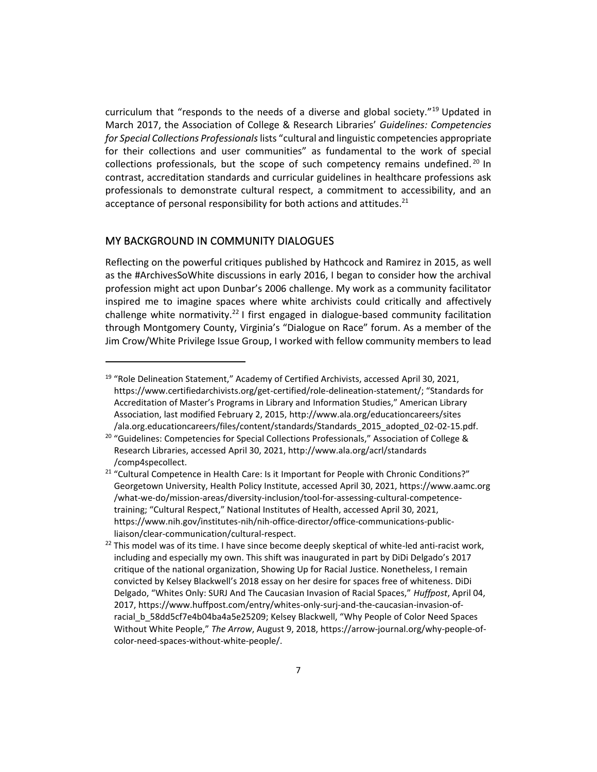curriculum that "responds to the needs of a diverse and global society."<sup>19</sup> Updated in March 2017, the Association of College & Research Libraries' *Guidelines: Competencies for Special Collections Professionals*lists "cultural and linguistic competencies appropriate for their collections and user communities" as fundamental to the work of special collections professionals, but the scope of such competency remains undefined.<sup>20</sup> In contrast, accreditation standards and curricular guidelines in healthcare professions ask professionals to demonstrate cultural respect, a commitment to accessibility, and an acceptance of personal responsibility for both actions and attitudes. $21$ 

## MY BACKGROUND IN COMMUNITY DIALOGUES

Reflecting on the powerful critiques published by Hathcock and Ramirez in 2015, as well as the #ArchivesSoWhite discussions in early 2016, I began to consider how the archival profession might act upon Dunbar's 2006 challenge. My work as a community facilitator inspired me to imagine spaces where white archivists could critically and affectively challenge white normativity.<sup>22</sup> I first engaged in dialogue-based community facilitation through Montgomery County, Virginia's "Dialogue on Race" forum. As a member of the Jim Crow/White Privilege Issue Group, I worked with fellow community members to lead

<sup>&</sup>lt;sup>19</sup> "Role Delineation Statement," Academy of Certified Archivists, accessed April 30, 2021, https://www.certifiedarchivists.org/get-certified/role-delineation-statement/; "Standards for Accreditation of Master's Programs in Library and Information Studies," American Library Association, last modified February 2, 2015, http://www.ala.org/educationcareers/sites /ala.org.educationcareers/files/content/standards/Standards\_2015\_adopted\_02-02-15.pdf.

<sup>&</sup>lt;sup>20</sup> "Guidelines: Competencies for Special Collections Professionals," Association of College & Research Libraries, accessed April 30, 2021, http://www.ala.org/acrl/standards /comp4specollect.

<sup>&</sup>lt;sup>21</sup> "Cultural Competence in Health Care: Is it Important for People with Chronic Conditions?" Georgetown University, Health Policy Institute, accessed April 30, 2021, https://www.aamc.org /what-we-do/mission-areas/diversity-inclusion/tool-for-assessing-cultural-competencetraining; "Cultural Respect," National Institutes of Health, accessed April 30, 2021, https://www.nih.gov/institutes-nih/nih-office-director/office-communications-publicliaison/clear-communication/cultural-respect.

 $22$  This model was of its time. I have since become deeply skeptical of white-led anti-racist work, including and especially my own. This shift was inaugurated in part by DiDi Delgado's 2017 critique of the national organization, Showing Up for Racial Justice. Nonetheless, I remain convicted by Kelsey Blackwell's 2018 essay on her desire for spaces free of whiteness. DiDi Delgado, "Whites Only: SURJ And The Caucasian Invasion of Racial Spaces," *Huffpost*, April 04, 2017, https://www.huffpost.com/entry/whites-only-surj-and-the-caucasian-invasion-ofracial\_b\_58dd5cf7e4b04ba4a5e25209; Kelsey Blackwell, "Why People of Color Need Spaces Without White People," *The Arrow*, August 9, 2018, https://arrow-journal.org/why-people-ofcolor-need-spaces-without-white-people/.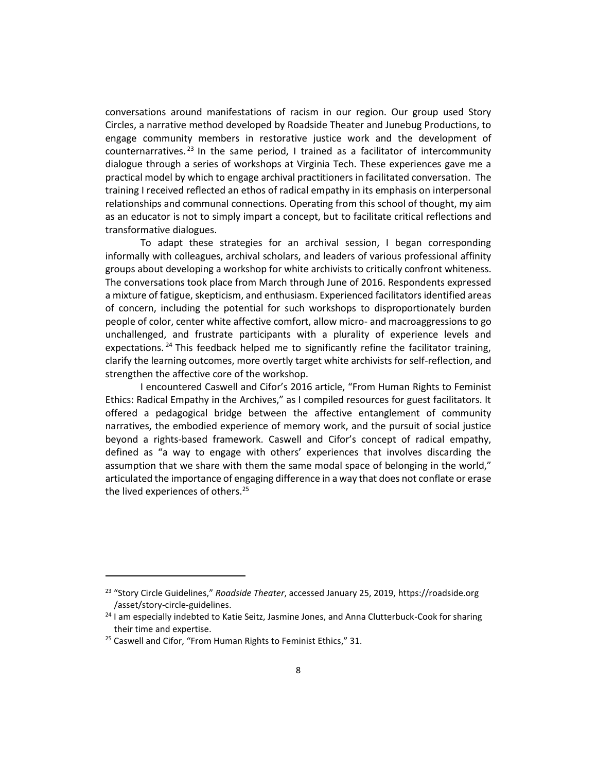conversations around manifestations of racism in our region. Our group used Story Circles, a narrative method developed by Roadside Theater and Junebug Productions, to engage community members in restorative justice work and the development of counternarratives.<sup>23</sup> In the same period, I trained as a facilitator of intercommunity dialogue through a series of workshops at Virginia Tech. These experiences gave me a practical model by which to engage archival practitioners in facilitated conversation. The training I received reflected an ethos of radical empathy in its emphasis on interpersonal relationships and communal connections. Operating from this school of thought, my aim as an educator is not to simply impart a concept, but to facilitate critical reflections and transformative dialogues.

To adapt these strategies for an archival session, I began corresponding informally with colleagues, archival scholars, and leaders of various professional affinity groups about developing a workshop for white archivists to critically confront whiteness. The conversations took place from March through June of 2016. Respondents expressed a mixture of fatigue, skepticism, and enthusiasm. Experienced facilitators identified areas of concern, including the potential for such workshops to disproportionately burden people of color, center white affective comfort, allow micro- and macroaggressions to go unchallenged, and frustrate participants with a plurality of experience levels and expectations. <sup>24</sup> This feedback helped me to significantly refine the facilitator training, clarify the learning outcomes, more overtly target white archivists for self-reflection, and strengthen the affective core of the workshop.

I encountered Caswell and Cifor's 2016 article, "From Human Rights to Feminist Ethics: Radical Empathy in the Archives," as I compiled resources for guest facilitators. It offered a pedagogical bridge between the affective entanglement of community narratives, the embodied experience of memory work, and the pursuit of social justice beyond a rights-based framework. Caswell and Cifor's concept of radical empathy, defined as "a way to engage with others' experiences that involves discarding the assumption that we share with them the same modal space of belonging in the world," articulated the importance of engaging difference in a way that does not conflate or erase the lived experiences of others.<sup>25</sup>

<sup>23</sup> "Story Circle Guidelines," *Roadside Theater*, accessed January 25, 2019, https://roadside.org /asset/story-circle-guidelines.

<sup>&</sup>lt;sup>24</sup> I am especially indebted to Katie Seitz, Jasmine Jones, and Anna Clutterbuck-Cook for sharing their time and expertise.

<sup>&</sup>lt;sup>25</sup> Caswell and Cifor, "From Human Rights to Feminist Ethics," 31.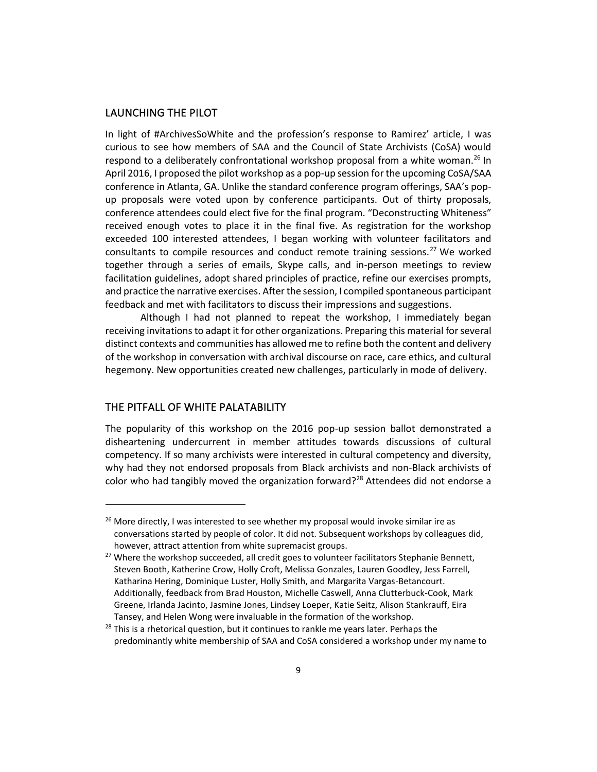## LAUNCHING THE PILOT

In light of #ArchivesSoWhite and the profession's response to Ramirez' article, I was curious to see how members of SAA and the Council of State Archivists (CoSA) would respond to a deliberately confrontational workshop proposal from a white woman.<sup>26</sup> In April 2016, I proposed the pilot workshop as a pop-up session for the upcoming CoSA/SAA conference in Atlanta, GA. Unlike the standard conference program offerings, SAA's popup proposals were voted upon by conference participants. Out of thirty proposals, conference attendees could elect five for the final program. "Deconstructing Whiteness" received enough votes to place it in the final five. As registration for the workshop exceeded 100 interested attendees, I began working with volunteer facilitators and consultants to compile resources and conduct remote training sessions.<sup>27</sup> We worked together through a series of emails, Skype calls, and in-person meetings to review facilitation guidelines, adopt shared principles of practice, refine our exercises prompts, and practice the narrative exercises. After the session, I compiled spontaneous participant feedback and met with facilitators to discuss their impressions and suggestions.

Although I had not planned to repeat the workshop, I immediately began receiving invitations to adapt it for other organizations. Preparing this material for several distinct contexts and communities has allowed me to refine both the content and delivery of the workshop in conversation with archival discourse on race, care ethics, and cultural hegemony. New opportunities created new challenges, particularly in mode of delivery.

## THE PITFALL OF WHITE PALATABILITY

The popularity of this workshop on the 2016 pop-up session ballot demonstrated a disheartening undercurrent in member attitudes towards discussions of cultural competency. If so many archivists were interested in cultural competency and diversity, why had they not endorsed proposals from Black archivists and non-Black archivists of color who had tangibly moved the organization forward?<sup>28</sup> Attendees did not endorse a

 $26$  More directly, I was interested to see whether my proposal would invoke similar ire as conversations started by people of color. It did not. Subsequent workshops by colleagues did, however, attract attention from white supremacist groups.

<sup>&</sup>lt;sup>27</sup> Where the workshop succeeded, all credit goes to volunteer facilitators Stephanie Bennett, Steven Booth, Katherine Crow, Holly Croft, Melissa Gonzales, Lauren Goodley, Jess Farrell, Katharina Hering, Dominique Luster, Holly Smith, and Margarita Vargas-Betancourt. Additionally, feedback from Brad Houston, Michelle Caswell, Anna Clutterbuck-Cook, Mark Greene, Irlanda Jacinto, Jasmine Jones, Lindsey Loeper, Katie Seitz, Alison Stankrauff, Eira Tansey, and Helen Wong were invaluable in the formation of the workshop.

 $28$  This is a rhetorical question, but it continues to rankle me years later. Perhaps the predominantly white membership of SAA and CoSA considered a workshop under my name to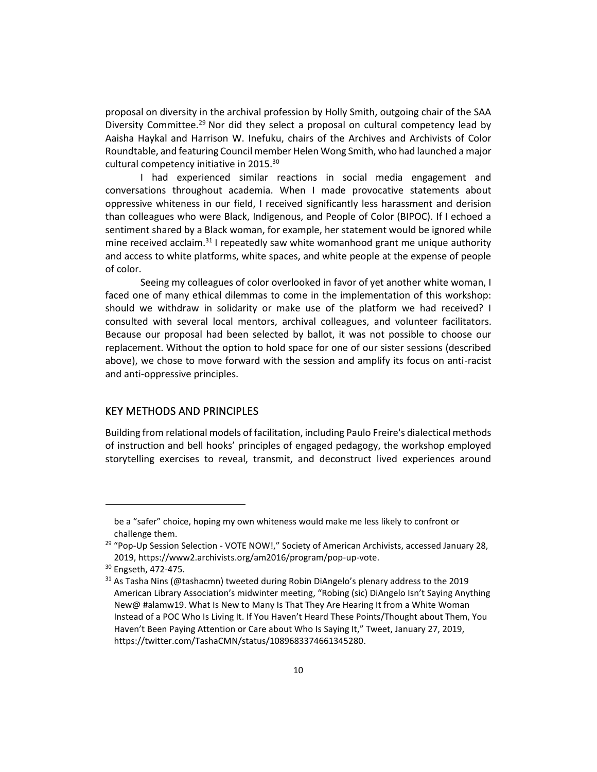proposal on diversity in the archival profession by Holly Smith, outgoing chair of the SAA Diversity Committee.<sup>29</sup> Nor did they select a proposal on cultural competency lead by Aaisha Haykal and Harrison W. Inefuku, chairs of the Archives and Archivists of Color Roundtable, and featuring Council member Helen Wong Smith, who had launched a major cultural competency initiative in 2015.<sup>30</sup>

I had experienced similar reactions in social media engagement and conversations throughout academia. When I made provocative statements about oppressive whiteness in our field, I received significantly less harassment and derision than colleagues who were Black, Indigenous, and People of Color (BIPOC). If I echoed a sentiment shared by a Black woman, for example, her statement would be ignored while mine received acclaim.<sup>31</sup> I repeatedly saw white womanhood grant me unique authority and access to white platforms, white spaces, and white people at the expense of people of color.

Seeing my colleagues of color overlooked in favor of yet another white woman, I faced one of many ethical dilemmas to come in the implementation of this workshop: should we withdraw in solidarity or make use of the platform we had received? I consulted with several local mentors, archival colleagues, and volunteer facilitators. Because our proposal had been selected by ballot, it was not possible to choose our replacement. Without the option to hold space for one of our sister sessions (described above), we chose to move forward with the session and amplify its focus on anti-racist and anti-oppressive principles.

#### KEY METHODS AND PRINCIPLES

Building from relational models of facilitation, including Paulo Freire's dialectical methods of instruction and bell hooks' principles of engaged pedagogy, the workshop employed storytelling exercises to reveal, transmit, and deconstruct lived experiences around

be a "safer" choice, hoping my own whiteness would make me less likely to confront or challenge them.

<sup>&</sup>lt;sup>29</sup> "Pop-Up Session Selection - VOTE NOW!," Society of American Archivists, accessed January 28, 2019, https://www2.archivists.org/am2016/program/pop-up-vote.

<sup>30</sup> Engseth, 472-475.

 $31$  As Tasha Nins (@tashacmn) tweeted during Robin DiAngelo's plenary address to the 2019 American Library Association's midwinter meeting, "Robing (sic) DiAngelo Isn't Saying Anything New@ #alamw19. What Is New to Many Is That They Are Hearing It from a White Woman Instead of a POC Who Is Living It. If You Haven't Heard These Points/Thought about Them, You Haven't Been Paying Attention or Care about Who Is Saying It," Tweet, January 27, 2019, https://twitter.com/TashaCMN/status/1089683374661345280.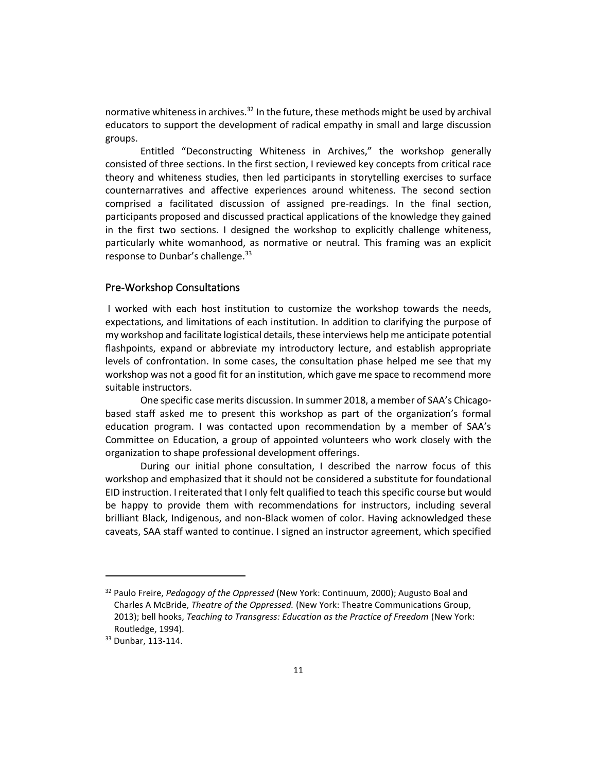normative whiteness in archives. $32$  In the future, these methods might be used by archival educators to support the development of radical empathy in small and large discussion groups.

Entitled "Deconstructing Whiteness in Archives," the workshop generally consisted of three sections. In the first section, I reviewed key concepts from critical race theory and whiteness studies, then led participants in storytelling exercises to surface counternarratives and affective experiences around whiteness. The second section comprised a facilitated discussion of assigned pre-readings. In the final section, participants proposed and discussed practical applications of the knowledge they gained in the first two sections. I designed the workshop to explicitly challenge whiteness, particularly white womanhood, as normative or neutral. This framing was an explicit response to Dunbar's challenge.<sup>33</sup>

#### Pre-Workshop Consultations

I worked with each host institution to customize the workshop towards the needs, expectations, and limitations of each institution. In addition to clarifying the purpose of my workshop and facilitate logistical details, these interviews help me anticipate potential flashpoints, expand or abbreviate my introductory lecture, and establish appropriate levels of confrontation. In some cases, the consultation phase helped me see that my workshop was not a good fit for an institution, which gave me space to recommend more suitable instructors.

One specific case merits discussion. In summer 2018, a member of SAA's Chicagobased staff asked me to present this workshop as part of the organization's formal education program. I was contacted upon recommendation by a member of SAA's Committee on Education, a group of appointed volunteers who work closely with the organization to shape professional development offerings.

During our initial phone consultation, I described the narrow focus of this workshop and emphasized that it should not be considered a substitute for foundational EID instruction. I reiterated that I only felt qualified to teach this specific course but would be happy to provide them with recommendations for instructors, including several brilliant Black, Indigenous, and non-Black women of color. Having acknowledged these caveats, SAA staff wanted to continue. I signed an instructor agreement, which specified

<sup>32</sup> Paulo Freire, *Pedagogy of the Oppressed* (New York: Continuum, 2000); Augusto Boal and Charles A McBride, *Theatre of the Oppressed.* (New York: Theatre Communications Group, 2013); bell hooks, *Teaching to Transgress: Education as the Practice of Freedom* (New York: Routledge, 1994).

<sup>33</sup> Dunbar, 113-114.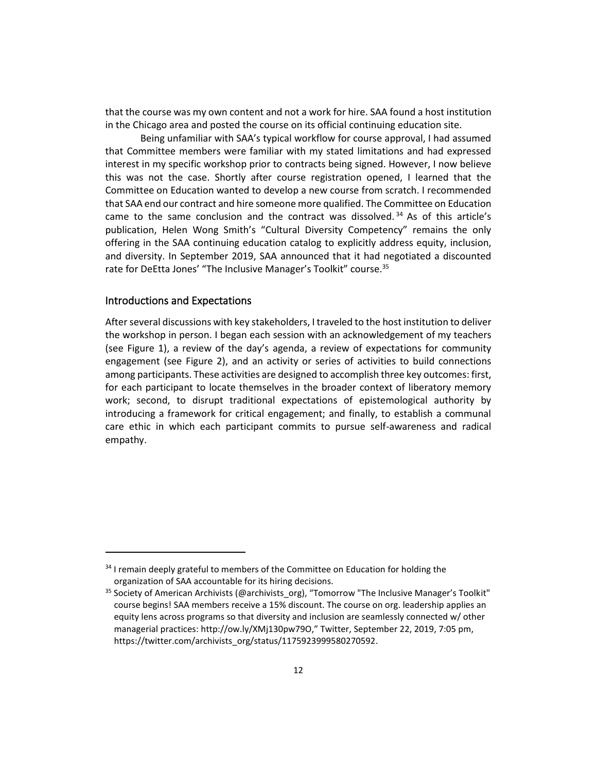that the course was my own content and not a work for hire. SAA found a host institution in the Chicago area and posted the course on its official continuing education site.

Being unfamiliar with SAA's typical workflow for course approval, I had assumed that Committee members were familiar with my stated limitations and had expressed interest in my specific workshop prior to contracts being signed. However, I now believe this was not the case. Shortly after course registration opened, I learned that the Committee on Education wanted to develop a new course from scratch. I recommended that SAA end our contract and hire someone more qualified. The Committee on Education came to the same conclusion and the contract was dissolved.<sup>34</sup> As of this article's publication, Helen Wong Smith's "Cultural Diversity Competency" remains the only offering in the SAA continuing education catalog to explicitly address equity, inclusion, and diversity. In September 2019, SAA announced that it had negotiated a discounted rate for DeEtta Jones' "The Inclusive Manager's Toolkit" course.<sup>35</sup>

### Introductions and Expectations

After several discussions with key stakeholders, I traveled to the host institution to deliver the workshop in person. I began each session with an acknowledgement of my teachers (see Figure 1), a review of the day's agenda, a review of expectations for community engagement (see Figure 2), and an activity or series of activities to build connections among participants. These activities are designed to accomplish three key outcomes: first, for each participant to locate themselves in the broader context of liberatory memory work; second, to disrupt traditional expectations of epistemological authority by introducing a framework for critical engagement; and finally, to establish a communal care ethic in which each participant commits to pursue self-awareness and radical empathy.

<sup>&</sup>lt;sup>34</sup> I remain deeply grateful to members of the Committee on Education for holding the organization of SAA accountable for its hiring decisions.

<sup>&</sup>lt;sup>35</sup> Society of American Archivists (@archivists\_org), "Tomorrow "The Inclusive Manager's Toolkit" course begins! SAA members receive a 15% discount. The course on org. leadership applies an equity lens across programs so that diversity and inclusion are seamlessly connected w/ other managerial practices: http://ow.ly/XMj130pw79O," Twitter, September 22, 2019, 7:05 pm, https://twitter.com/archivists\_org/status/1175923999580270592.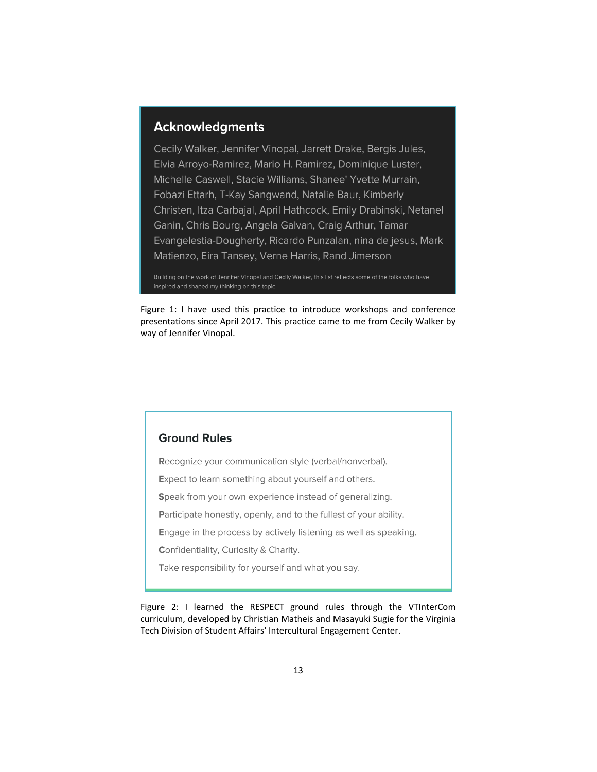## **Acknowledgments**

Cecily Walker, Jennifer Vinopal, Jarrett Drake, Bergis Jules, Elvia Arroyo-Ramirez, Mario H. Ramirez, Dominique Luster, Michelle Caswell, Stacie Williams, Shanee' Yvette Murrain, Fobazi Ettarh, T-Kay Sangwand, Natalie Baur, Kimberly Christen, Itza Carbajal, April Hathcock, Emily Drabinski, Netanel Ganin, Chris Bourg, Angela Galvan, Craig Arthur, Tamar Evangelestia-Dougherty, Ricardo Punzalan, nina de jesus, Mark Matienzo, Eira Tansey, Verne Harris, Rand Jimerson

Building on the work of Jennifer Vinopal and Cecily Walker, this list reflects some of the folks who have inspired and shaped my thinking on this topic.

Figure 1: I have used this practice to introduce workshops and conference presentations since April 2017. This practice came to me from Cecily Walker by way of Jennifer Vinopal.

## **Ground Rules**

Recognize your communication style (verbal/nonverbal).

Expect to learn something about yourself and others.

Speak from your own experience instead of generalizing.

Participate honestly, openly, and to the fullest of your ability.

Engage in the process by actively listening as well as speaking.

Confidentiality, Curiosity & Charity.

Take responsibility for yourself and what you say.

Figure 2: I learned the RESPECT ground rules through the VTInterCom curriculum, developed by Christian Matheis and Masayuki Sugie for the Virginia Tech Division of Student Affairs' Intercultural Engagement Center.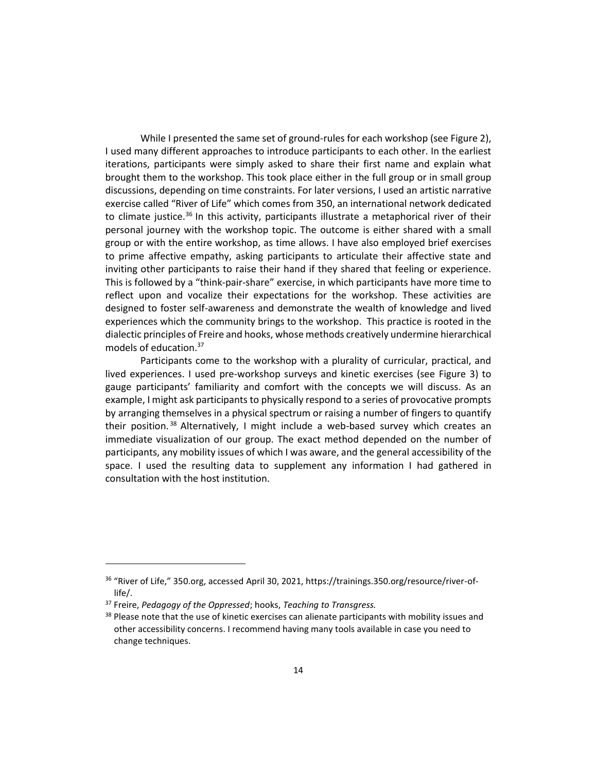While I presented the same set of ground-rules for each workshop (see Figure 2), I used many different approaches to introduce participants to each other. In the earliest iterations, participants were simply asked to share their first name and explain what brought them to the workshop. This took place either in the full group or in small group discussions, depending on time constraints. For later versions, I used an artistic narrative exercise called "River of Life" which comes from 350, an international network dedicated to climate justice.<sup>36</sup> In this activity, participants illustrate a metaphorical river of their personal journey with the workshop topic. The outcome is either shared with a small group or with the entire workshop, as time allows. I have also employed brief exercises to prime affective empathy, asking participants to articulate their affective state and inviting other participants to raise their hand if they shared that feeling or experience. This is followed by a "think-pair-share" exercise, in which participants have more time to reflect upon and vocalize their expectations for the workshop. These activities are designed to foster self-awareness and demonstrate the wealth of knowledge and lived experiences which the community brings to the workshop. This practice is rooted in the dialectic principles of Freire and hooks, whose methods creatively undermine hierarchical models of education.<sup>37</sup>

Participants come to the workshop with a plurality of curricular, practical, and lived experiences. I used pre-workshop surveys and kinetic exercises (see Figure 3) to gauge participants' familiarity and comfort with the concepts we will discuss. As an example, I might ask participants to physically respond to a series of provocative prompts by arranging themselves in a physical spectrum or raising a number of fingers to quantify their position.<sup>38</sup> Alternatively, I might include a web-based survey which creates an immediate visualization of our group. The exact method depended on the number of participants, any mobility issues of which I was aware, and the general accessibility of the space. I used the resulting data to supplement any information I had gathered in consultation with the host institution.

<sup>36</sup> "River of Life," 350.org, accessed April 30, 2021, https://trainings.350.org/resource/river-oflife/.

<sup>37</sup> Freire, *Pedagogy of the Oppressed*; hooks, *Teaching to Transgress.*

 $38$  Please note that the use of kinetic exercises can alienate participants with mobility issues and other accessibility concerns. I recommend having many tools available in case you need to change techniques.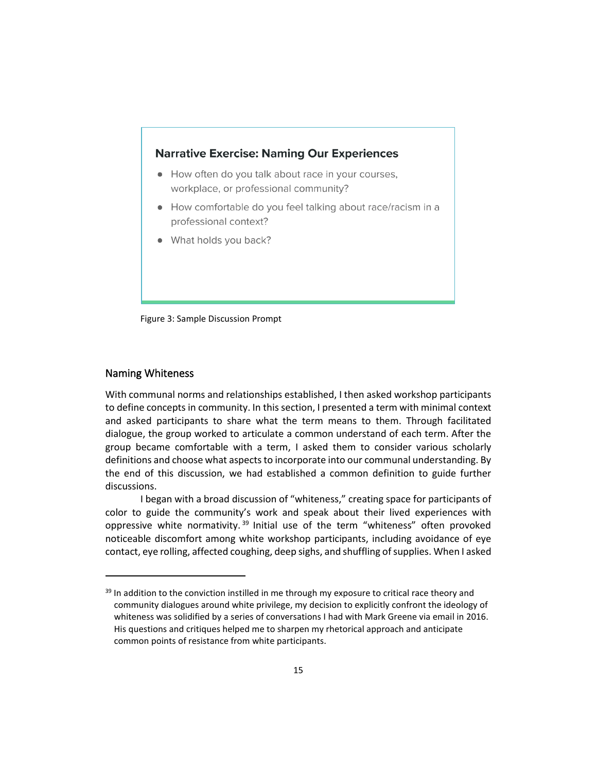## **Narrative Exercise: Naming Our Experiences**

- How often do you talk about race in your courses, workplace, or professional community?
- How comfortable do you feel talking about race/racism in a professional context?
- What holds you back?

Figure 3: Sample Discussion Prompt

#### Naming Whiteness

With communal norms and relationships established, I then asked workshop participants to define concepts in community. In this section, I presented a term with minimal context and asked participants to share what the term means to them. Through facilitated dialogue, the group worked to articulate a common understand of each term. After the group became comfortable with a term, I asked them to consider various scholarly definitions and choose what aspects to incorporate into our communal understanding. By the end of this discussion, we had established a common definition to guide further discussions.

I began with a broad discussion of "whiteness," creating space for participants of color to guide the community's work and speak about their lived experiences with oppressive white normativity.<sup>39</sup> Initial use of the term "whiteness" often provoked noticeable discomfort among white workshop participants, including avoidance of eye contact, eye rolling, affected coughing, deep sighs, and shuffling of supplies. When I asked

<sup>&</sup>lt;sup>39</sup> In addition to the conviction instilled in me through my exposure to critical race theory and community dialogues around white privilege, my decision to explicitly confront the ideology of whiteness was solidified by a series of conversations I had with Mark Greene via email in 2016. His questions and critiques helped me to sharpen my rhetorical approach and anticipate common points of resistance from white participants.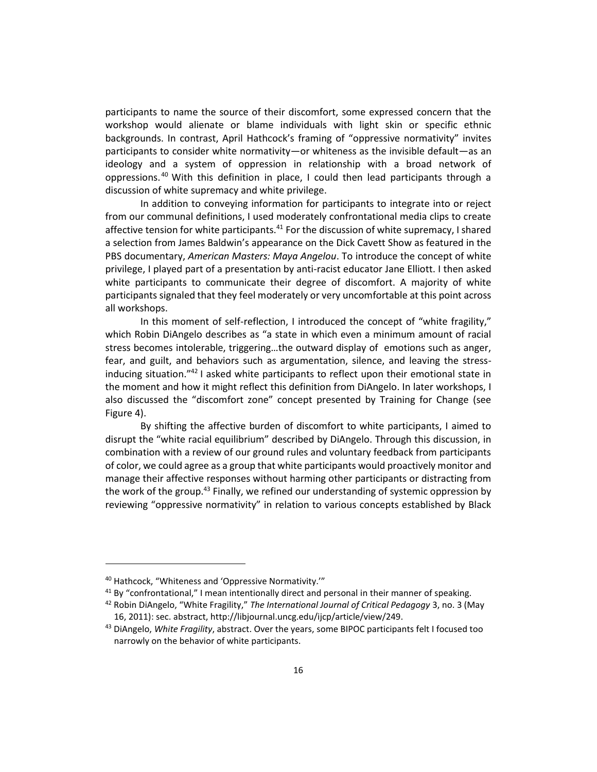participants to name the source of their discomfort, some expressed concern that the workshop would alienate or blame individuals with light skin or specific ethnic backgrounds. In contrast, April Hathcock's framing of "oppressive normativity" invites participants to consider white normativity—or whiteness as the invisible default—as an ideology and a system of oppression in relationship with a broad network of oppressions.<sup>40</sup> With this definition in place, I could then lead participants through a discussion of white supremacy and white privilege.

In addition to conveying information for participants to integrate into or reject from our communal definitions, I used moderately confrontational media clips to create affective tension for white participants.<sup>41</sup> For the discussion of white supremacy, I shared a selection from James Baldwin's appearance on the Dick Cavett Show as featured in the PBS documentary, *American Masters: Maya Angelou*. To introduce the concept of white privilege, I played part of a presentation by anti-racist educator Jane Elliott. I then asked white participants to communicate their degree of discomfort. A majority of white participants signaled that they feel moderately or very uncomfortable at this point across all workshops.

In this moment of self-reflection, I introduced the concept of "white fragility," which Robin DiAngelo describes as "a state in which even a minimum amount of racial stress becomes intolerable, triggering…the outward display of emotions such as anger, fear, and guilt, and behaviors such as argumentation, silence, and leaving the stressinducing situation."<sup>42</sup> I asked white participants to reflect upon their emotional state in the moment and how it might reflect this definition from DiAngelo. In later workshops, I also discussed the "discomfort zone" concept presented by Training for Change (see Figure 4).

By shifting the affective burden of discomfort to white participants, I aimed to disrupt the "white racial equilibrium" described by DiAngelo. Through this discussion, in combination with a review of our ground rules and voluntary feedback from participants of color, we could agree as a group that white participants would proactively monitor and manage their affective responses without harming other participants or distracting from the work of the group.<sup>43</sup> Finally, we refined our understanding of systemic oppression by reviewing "oppressive normativity" in relation to various concepts established by Black

<sup>40</sup> Hathcock, "Whiteness and 'Oppressive Normativity.'"

 $41$  By "confrontational," I mean intentionally direct and personal in their manner of speaking.

<sup>42</sup> Robin DiAngelo, "White Fragility," *The International Journal of Critical Pedagogy* 3, no. 3 (May 16, 2011): sec. abstract, http://libjournal.uncg.edu/ijcp/article/view/249.

<sup>43</sup> DiAngelo, *White Fragility*, abstract. Over the years, some BIPOC participants felt I focused too narrowly on the behavior of white participants.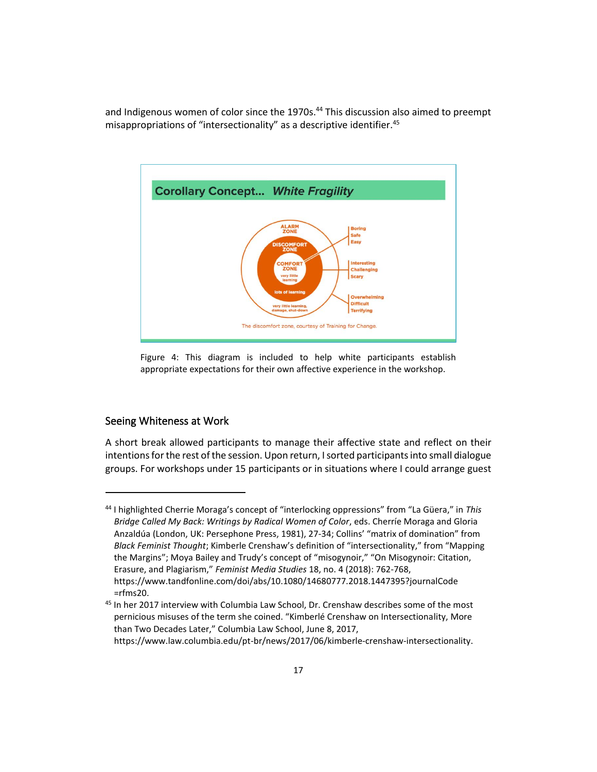and Indigenous women of color since the 1970s.<sup>44</sup> This discussion also aimed to preempt misappropriations of "intersectionality" as a descriptive identifier.<sup>45</sup>



Figure 4: This diagram is included to help white participants establish appropriate expectations for their own affective experience in the workshop.

## Seeing Whiteness at Work

A short break allowed participants to manage their affective state and reflect on their intentions for the rest of the session. Upon return, I sorted participants into small dialogue groups. For workshops under 15 participants or in situations where I could arrange guest

<sup>44</sup> I highlighted Cherrie Moraga's concept of "interlocking oppressions" from "La Güera," in *This Bridge Called My Back: Writings by Radical Women of Color*, eds. Cherríe Moraga and Gloria Anzaldúa (London, UK: Persephone Press, 1981), 27-34; Collins' "matrix of domination" from *Black Feminist Thought*; Kimberle Crenshaw's definition of "intersectionality," from "Mapping the Margins"; Moya Bailey and Trudy's concept of "misogynoir," "On Misogynoir: Citation, Erasure, and Plagiarism," *Feminist Media Studies* 18, no. 4 (2018): 762-768, https://www.tandfonline.com/doi/abs/10.1080/14680777.2018.1447395?journalCode  $=$ rfms $20.$ 

<sup>&</sup>lt;sup>45</sup> In her 2017 interview with Columbia Law School, Dr. Crenshaw describes some of the most pernicious misuses of the term she coined. "Kimberlé Crenshaw on Intersectionality, More than Two Decades Later," Columbia Law School, June 8, 2017, https://www.law.columbia.edu/pt-br/news/2017/06/kimberle-crenshaw-intersectionality.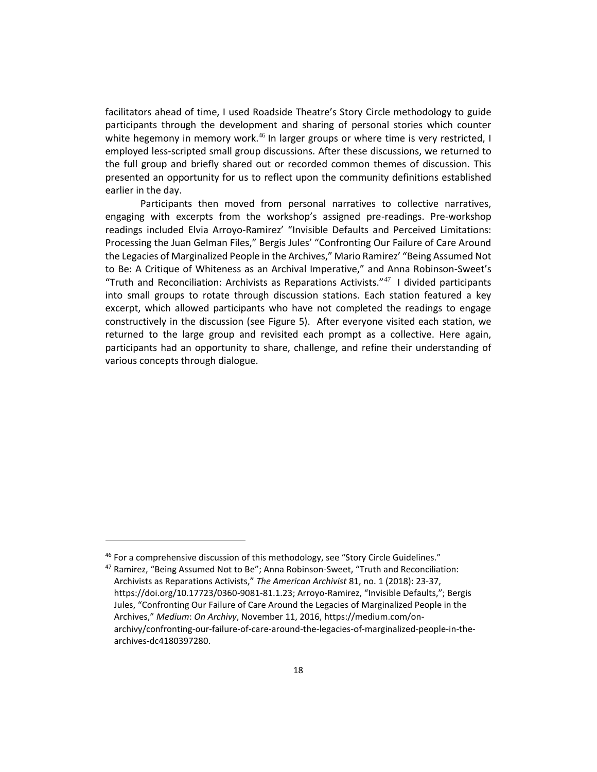facilitators ahead of time, I used Roadside Theatre's Story Circle methodology to guide participants through the development and sharing of personal stories which counter white hegemony in memory work.<sup>46</sup> In larger groups or where time is very restricted, I employed less-scripted small group discussions. After these discussions, we returned to the full group and briefly shared out or recorded common themes of discussion. This presented an opportunity for us to reflect upon the community definitions established earlier in the day.

Participants then moved from personal narratives to collective narratives, engaging with excerpts from the workshop's assigned pre-readings. Pre-workshop readings included Elvia Arroyo-Ramirez' "Invisible Defaults and Perceived Limitations: Processing the Juan Gelman Files," Bergis Jules' "Confronting Our Failure of Care Around the Legacies of Marginalized People in the Archives," Mario Ramirez' "Being Assumed Not to Be: A Critique of Whiteness as an Archival Imperative," and Anna Robinson-Sweet's "Truth and Reconciliation: Archivists as Reparations Activists."<sup>47</sup> I divided participants into small groups to rotate through discussion stations. Each station featured a key excerpt, which allowed participants who have not completed the readings to engage constructively in the discussion (see Figure 5). After everyone visited each station, we returned to the large group and revisited each prompt as a collective. Here again, participants had an opportunity to share, challenge, and refine their understanding of various concepts through dialogue.

 $46$  For a comprehensive discussion of this methodology, see "Story Circle Guidelines."

<sup>47</sup> Ramirez, "Being Assumed Not to Be"; Anna Robinson-Sweet, "Truth and Reconciliation: Archivists as Reparations Activists," *The American Archivist* 81, no. 1 (2018): 23-37, https://doi.org/10.17723/0360-9081-81.1.23; Arroyo-Ramirez, "Invisible Defaults,"; Bergis Jules, "Confronting Our Failure of Care Around the Legacies of Marginalized People in the Archives," *Medium*: *On Archivy*, November 11, 2016, https://medium.com/onarchivy/confronting-our-failure-of-care-around-the-legacies-of-marginalized-people-in-thearchives-dc4180397280.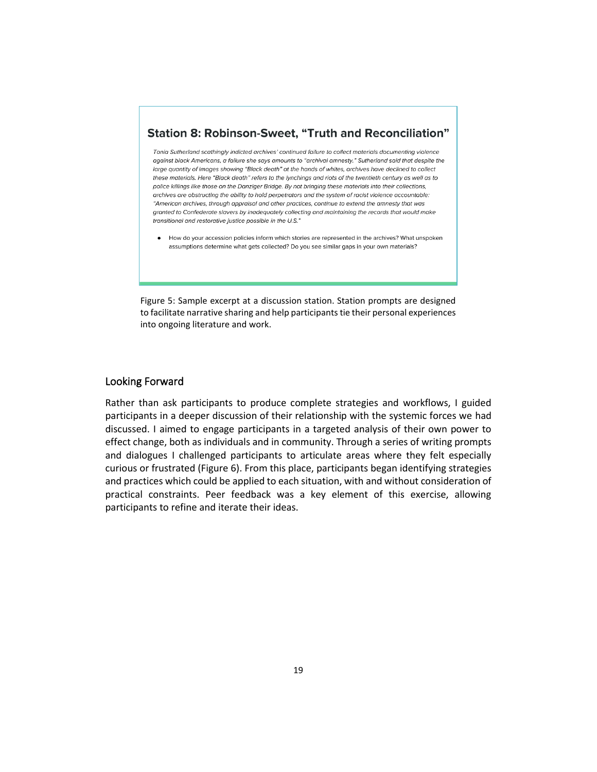## **Station 8: Robinson-Sweet, "Truth and Reconciliation"**

Tonia Sutherland scathingly indicted archives' continued failure to collect materials documenting violence against black Americans, a failure she says amounts to "archival amnesty." Sutherland said that despite the large quantity of images showing "Black death" at the hands of whites, archives have declined to collect these materials. Here "Black death" refers to the lynchings and riots of the twentieth century as well as to police killings like those on the Danziger Bridge. By not bringing these materials into their collections, archives are obstructing the ability to hold perpetrators and the system of racist violence accountable: "American archives, through appraisal and other practices, continue to extend the amnesty that was aranted to Confederate slavers by inadequately collecting and maintaining the records that would make transitional and restorative justice possible in the U.S."

• How do your accession policies inform which stories are represented in the archives? What unspoken assumptions determine what gets collected? Do you see similar gaps in your own materials?

Figure 5: Sample excerpt at a discussion station. Station prompts are designed to facilitate narrative sharing and help participants tie their personal experiences into ongoing literature and work.

#### Looking Forward

Rather than ask participants to produce complete strategies and workflows, I guided participants in a deeper discussion of their relationship with the systemic forces we had discussed. I aimed to engage participants in a targeted analysis of their own power to effect change, both as individuals and in community. Through a series of writing prompts and dialogues I challenged participants to articulate areas where they felt especially curious or frustrated (Figure 6). From this place, participants began identifying strategies and practices which could be applied to each situation, with and without consideration of practical constraints. Peer feedback was a key element of this exercise, allowing participants to refine and iterate their ideas.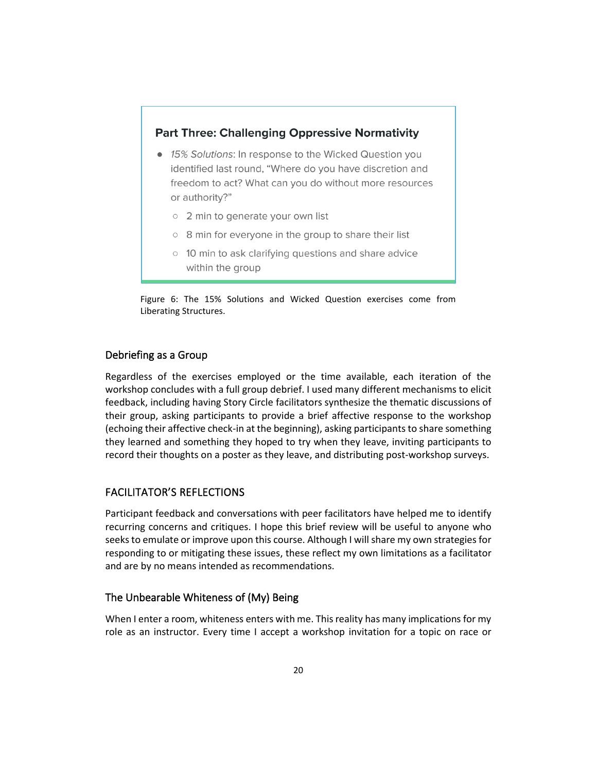## **Part Three: Challenging Oppressive Normativity**

- 15% Solutions: In response to the Wicked Question you identified last round, "Where do you have discretion and freedom to act? What can you do without more resources or authority?"
	- o 2 min to generate your own list
	- 8 min for everyone in the group to share their list
	- 10 min to ask clarifying questions and share advice within the group

Figure 6: The 15% Solutions and Wicked Question exercises come from Liberating Structures.

## Debriefing as a Group

Regardless of the exercises employed or the time available, each iteration of the workshop concludes with a full group debrief. I used many different mechanisms to elicit feedback, including having Story Circle facilitators synthesize the thematic discussions of their group, asking participants to provide a brief affective response to the workshop (echoing their affective check-in at the beginning), asking participants to share something they learned and something they hoped to try when they leave, inviting participants to record their thoughts on a poster as they leave, and distributing post-workshop surveys.

## FACILITATOR'S REFLECTIONS

Participant feedback and conversations with peer facilitators have helped me to identify recurring concerns and critiques. I hope this brief review will be useful to anyone who seeks to emulate or improve upon this course. Although I will share my own strategies for responding to or mitigating these issues, these reflect my own limitations as a facilitator and are by no means intended as recommendations.

## The Unbearable Whiteness of (My) Being

When I enter a room, whiteness enters with me. This reality has many implications for my role as an instructor. Every time I accept a workshop invitation for a topic on race or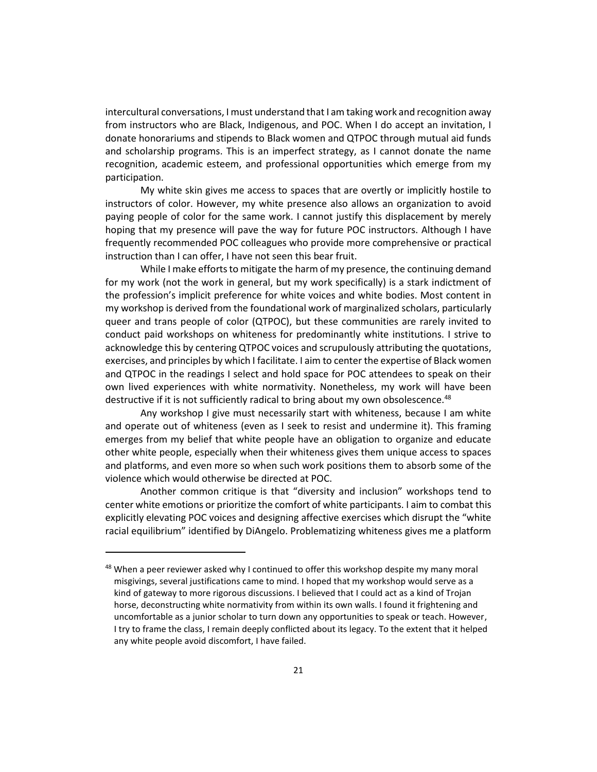intercultural conversations, I must understand that I am taking work and recognition away from instructors who are Black, Indigenous, and POC. When I do accept an invitation, I donate honorariums and stipends to Black women and QTPOC through mutual aid funds and scholarship programs. This is an imperfect strategy, as I cannot donate the name recognition, academic esteem, and professional opportunities which emerge from my participation.

My white skin gives me access to spaces that are overtly or implicitly hostile to instructors of color. However, my white presence also allows an organization to avoid paying people of color for the same work. I cannot justify this displacement by merely hoping that my presence will pave the way for future POC instructors. Although I have frequently recommended POC colleagues who provide more comprehensive or practical instruction than I can offer, I have not seen this bear fruit.

While I make efforts to mitigate the harm of my presence, the continuing demand for my work (not the work in general, but my work specifically) is a stark indictment of the profession's implicit preference for white voices and white bodies. Most content in my workshop is derived from the foundational work of marginalized scholars, particularly queer and trans people of color (QTPOC), but these communities are rarely invited to conduct paid workshops on whiteness for predominantly white institutions. I strive to acknowledge this by centering QTPOC voices and scrupulously attributing the quotations, exercises, and principles by which I facilitate. I aim to center the expertise of Black women and QTPOC in the readings I select and hold space for POC attendees to speak on their own lived experiences with white normativity. Nonetheless, my work will have been destructive if it is not sufficiently radical to bring about my own obsolescence.<sup>48</sup>

Any workshop I give must necessarily start with whiteness, because I am white and operate out of whiteness (even as I seek to resist and undermine it). This framing emerges from my belief that white people have an obligation to organize and educate other white people, especially when their whiteness gives them unique access to spaces and platforms, and even more so when such work positions them to absorb some of the violence which would otherwise be directed at POC.

Another common critique is that "diversity and inclusion" workshops tend to center white emotions or prioritize the comfort of white participants. I aim to combat this explicitly elevating POC voices and designing affective exercises which disrupt the "white racial equilibrium" identified by DiAngelo. Problematizing whiteness gives me a platform

 $48$  When a peer reviewer asked why I continued to offer this workshop despite my many moral misgivings, several justifications came to mind. I hoped that my workshop would serve as a kind of gateway to more rigorous discussions. I believed that I could act as a kind of Trojan horse, deconstructing white normativity from within its own walls. I found it frightening and uncomfortable as a junior scholar to turn down any opportunities to speak or teach. However, I try to frame the class, I remain deeply conflicted about its legacy. To the extent that it helped any white people avoid discomfort, I have failed.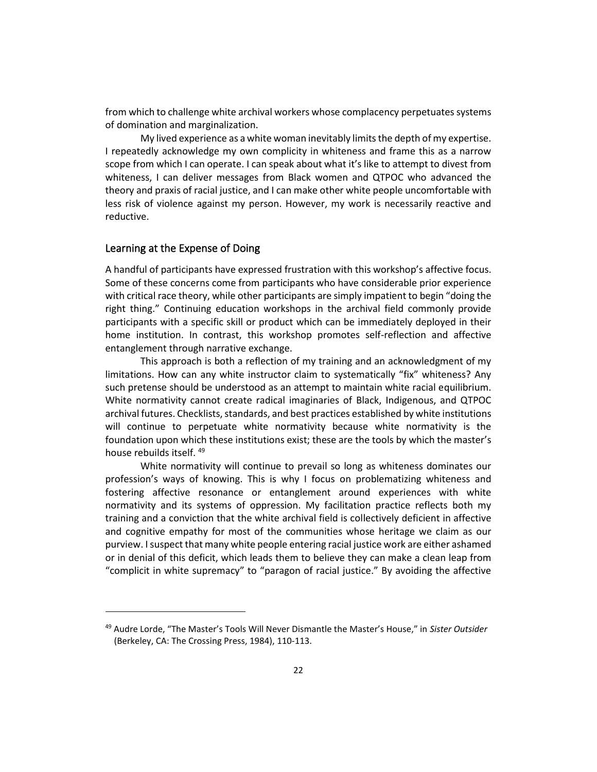from which to challenge white archival workers whose complacency perpetuates systems of domination and marginalization.

My lived experience as a white woman inevitably limits the depth of my expertise. I repeatedly acknowledge my own complicity in whiteness and frame this as a narrow scope from which I can operate. I can speak about what it's like to attempt to divest from whiteness, I can deliver messages from Black women and QTPOC who advanced the theory and praxis of racial justice, and I can make other white people uncomfortable with less risk of violence against my person. However, my work is necessarily reactive and reductive.

#### Learning at the Expense of Doing

A handful of participants have expressed frustration with this workshop's affective focus. Some of these concerns come from participants who have considerable prior experience with critical race theory, while other participants are simply impatient to begin "doing the right thing." Continuing education workshops in the archival field commonly provide participants with a specific skill or product which can be immediately deployed in their home institution. In contrast, this workshop promotes self-reflection and affective entanglement through narrative exchange.

This approach is both a reflection of my training and an acknowledgment of my limitations. How can any white instructor claim to systematically "fix" whiteness? Any such pretense should be understood as an attempt to maintain white racial equilibrium. White normativity cannot create radical imaginaries of Black, Indigenous, and QTPOC archival futures. Checklists, standards, and best practices established by white institutions will continue to perpetuate white normativity because white normativity is the foundation upon which these institutions exist; these are the tools by which the master's house rebuilds itself.<sup>49</sup>

White normativity will continue to prevail so long as whiteness dominates our profession's ways of knowing. This is why I focus on problematizing whiteness and fostering affective resonance or entanglement around experiences with white normativity and its systems of oppression. My facilitation practice reflects both my training and a conviction that the white archival field is collectively deficient in affective and cognitive empathy for most of the communities whose heritage we claim as our purview. I suspect that many white people entering racial justice work are either ashamed or in denial of this deficit, which leads them to believe they can make a clean leap from "complicit in white supremacy" to "paragon of racial justice." By avoiding the affective

<sup>49</sup> Audre Lorde, "The Master's Tools Will Never Dismantle the Master's House," in *Sister Outsider* (Berkeley, CA: The Crossing Press, 1984), 110-113.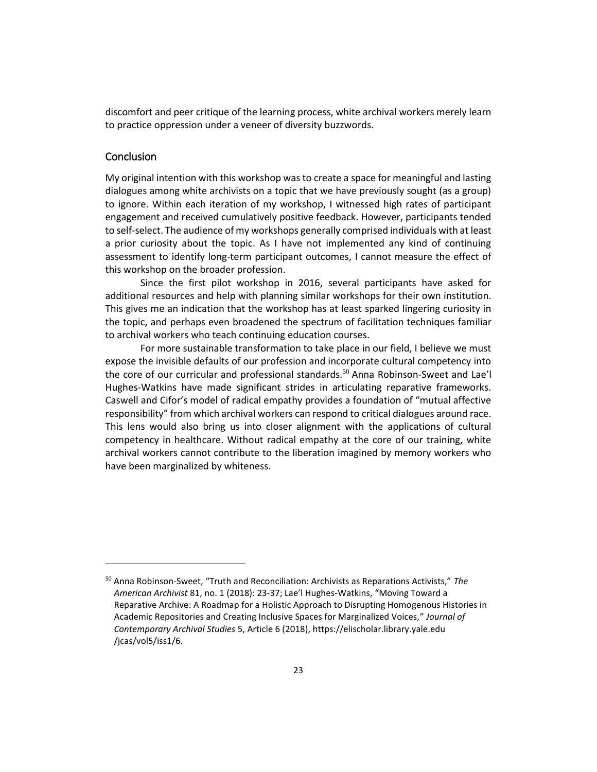discomfort and peer critique of the learning process, white archival workers merely learn to practice oppression under a veneer of diversity buzzwords.

## Conclusion

My original intention with this workshop was to create a space for meaningful and lasting dialogues among white archivists on a topic that we have previously sought (as a group) to ignore. Within each iteration of my workshop, I witnessed high rates of participant engagement and received cumulatively positive feedback. However, participants tended to self-select. The audience of my workshops generally comprised individuals with at least a prior curiosity about the topic. As I have not implemented any kind of continuing assessment to identify long-term participant outcomes, I cannot measure the effect of this workshop on the broader profession.

Since the first pilot workshop in 2016, several participants have asked for additional resources and help with planning similar workshops for their own institution. This gives me an indication that the workshop has at least sparked lingering curiosity in the topic, and perhaps even broadened the spectrum of facilitation techniques familiar to archival workers who teach continuing education courses.

For more sustainable transformation to take place in our field, I believe we must expose the invisible defaults of our profession and incorporate cultural competency into the core of our curricular and professional standards.<sup>50</sup> Anna Robinson-Sweet and Lae'l Hughes-Watkins have made significant strides in articulating reparative frameworks. Caswell and Cifor's model of radical empathy provides a foundation of "mutual affective responsibility" from which archival workers can respond to critical dialogues around race. This lens would also bring us into closer alignment with the applications of cultural competency in healthcare. Without radical empathy at the core of our training, white archival workers cannot contribute to the liberation imagined by memory workers who have been marginalized by whiteness.

<sup>50</sup> Anna Robinson-Sweet, "Truth and Reconciliation: Archivists as Reparations Activists," *The American Archivist* 81, no. 1 (2018): 23-37; Lae'l Hughes-Watkins, "Moving Toward a Reparative Archive: A Roadmap for a Holistic Approach to Disrupting Homogenous Histories in Academic Repositories and Creating Inclusive Spaces for Marginalized Voices," *Journal of Contemporary Archival Studies* 5, Article 6 (2018), https://elischolar.library.yale.edu /jcas/vol5/iss1/6.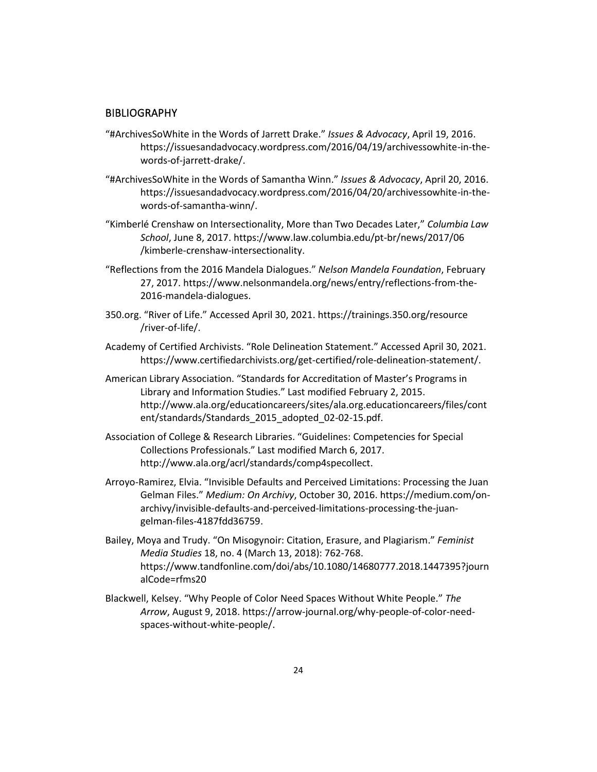#### **BIBLIOGRAPHY**

- "#ArchivesSoWhite in the Words of Jarrett Drake." *Issues & Advocacy*, April 19, 2016. https://issuesandadvocacy.wordpress.com/2016/04/19/archivessowhite-in-thewords-of-jarrett-drake/.
- "#ArchivesSoWhite in the Words of Samantha Winn." *Issues & Advocacy*, April 20, 2016. https://issuesandadvocacy.wordpress.com/2016/04/20/archivessowhite-in-thewords-of-samantha-winn/.
- "Kimberlé Crenshaw on Intersectionality, More than Two Decades Later," *Columbia Law School*, June 8, 2017. https://www.law.columbia.edu/pt-br/news/2017/06 /kimberle-crenshaw-intersectionality.
- "Reflections from the 2016 Mandela Dialogues." *Nelson Mandela Foundation*, February 27, 2017. https://www.nelsonmandela.org/news/entry/reflections-from-the-2016-mandela-dialogues.
- 350.org. "River of Life." Accessed April 30, 2021. https://trainings.350.org/resource /river-of-life/.
- Academy of Certified Archivists. "Role Delineation Statement." Accessed April 30, 2021. https://www.certifiedarchivists.org/get-certified/role-delineation-statement/.
- American Library Association. "Standards for Accreditation of Master's Programs in Library and Information Studies." Last modified February 2, 2015. http://www.ala.org/educationcareers/sites/ala.org.educationcareers/files/cont ent/standards/Standards\_2015\_adopted\_02-02-15.pdf.
- Association of College & Research Libraries. "Guidelines: Competencies for Special Collections Professionals." Last modified March 6, 2017. http://www.ala.org/acrl/standards/comp4specollect.
- Arroyo-Ramirez, Elvia. "Invisible Defaults and Perceived Limitations: Processing the Juan Gelman Files." *Medium: On Archivy*, October 30, 2016. https://medium.com/onarchivy/invisible-defaults-and-perceived-limitations-processing-the-juangelman-files-4187fdd36759.
- Bailey, Moya and Trudy. "On Misogynoir: Citation, Erasure, and Plagiarism." *Feminist Media Studies* 18, no. 4 (March 13, 2018): 762-768. https://www.tandfonline.com/doi/abs/10.1080/14680777.2018.1447395?journ alCode=rfms20
- Blackwell, Kelsey. "Why People of Color Need Spaces Without White People." *The Arrow*, August 9, 2018. https://arrow-journal.org/why-people-of-color-needspaces-without-white-people/.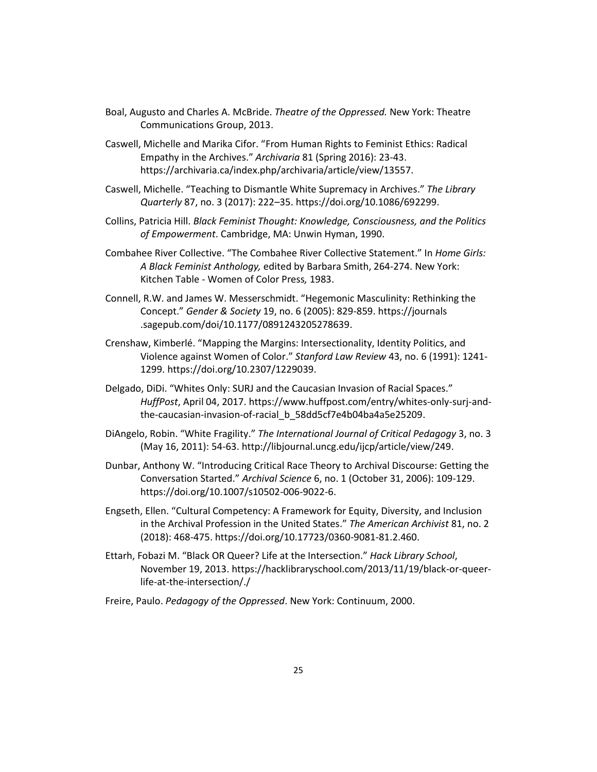- Boal, Augusto and Charles A. McBride. *Theatre of the Oppressed.* New York: Theatre Communications Group, 2013.
- Caswell, Michelle and Marika Cifor. "From Human Rights to Feminist Ethics: Radical Empathy in the Archives." *Archivaria* 81 (Spring 2016): 23-43. https://archivaria.ca/index.php/archivaria/article/view/13557.
- Caswell, Michelle. "Teaching to Dismantle White Supremacy in Archives." *The Library Quarterly* 87, no. 3 (2017): 222–35. https://doi.org/10.1086/692299.
- Collins, Patricia Hill. *Black Feminist Thought: Knowledge, Consciousness, and the Politics of Empowerment*. Cambridge, MA: Unwin Hyman, 1990.
- Combahee River Collective. "The Combahee River Collective Statement." In *Home Girls: A Black Feminist Anthology,* edited by Barbara Smith, 264-274. New York: Kitchen Table - Women of Color Press*,* 1983.
- Connell, R.W. and James W. Messerschmidt. "Hegemonic Masculinity: Rethinking the Concept." *Gender & Society* 19, no. 6 (2005): 829-859. https://journals .sagepub.com/doi/10.1177/0891243205278639.
- Crenshaw, Kimberlé. "Mapping the Margins: Intersectionality, Identity Politics, and Violence against Women of Color." *Stanford Law Review* 43, no. 6 (1991): 1241- 1299. https://doi.org/10.2307/1229039.
- Delgado, DiDi. "Whites Only: SURJ and the Caucasian Invasion of Racial Spaces." *HuffPost*, April 04, 2017. https://www.huffpost.com/entry/whites-only-surj-andthe-caucasian-invasion-of-racial\_b\_58dd5cf7e4b04ba4a5e25209.
- DiAngelo, Robin. "White Fragility." *The International Journal of Critical Pedagogy* 3, no. 3 (May 16, 2011): 54-63. http://libjournal.uncg.edu/ijcp/article/view/249.
- Dunbar, Anthony W. "Introducing Critical Race Theory to Archival Discourse: Getting the Conversation Started." *Archival Science* 6, no. 1 (October 31, 2006): 109-129. https://doi.org/10.1007/s10502-006-9022-6.
- Engseth, Ellen. "Cultural Competency: A Framework for Equity, Diversity, and Inclusion in the Archival Profession in the United States." *The American Archivist* 81, no. 2 (2018): 468-475. https://doi.org/10.17723/0360-9081-81.2.460.
- Ettarh, Fobazi M. "Black OR Queer? Life at the Intersection." *Hack Library School*, November 19, 2013. https://hacklibraryschool.com/2013/11/19/black-or-queerlife-at-the-intersection/./
- Freire, Paulo. *Pedagogy of the Oppressed*. New York: Continuum, 2000.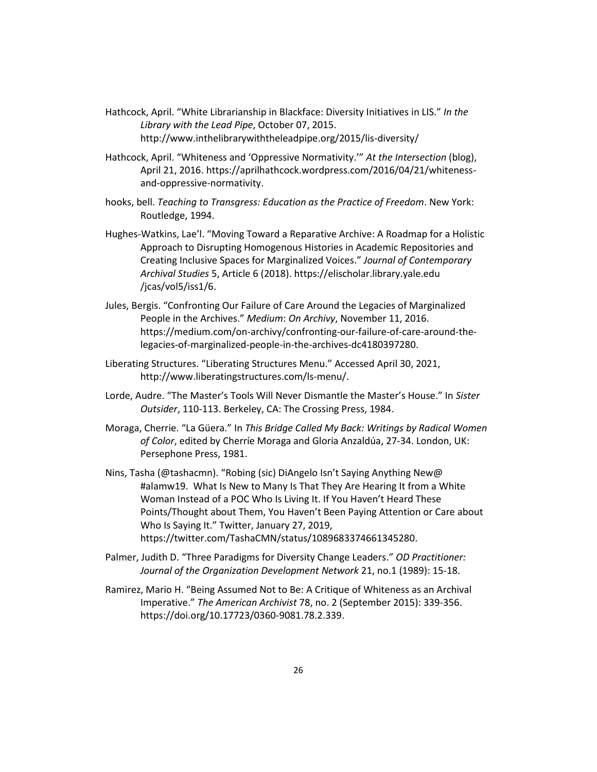- Hathcock, April. "White Librarianship in Blackface: Diversity Initiatives in LIS." *In the Library with the Lead Pipe*, October 07, 2015. http://www.inthelibrarywiththeleadpipe.org/2015/lis-diversity/
- Hathcock, April. "Whiteness and 'Oppressive Normativity.'" *At the Intersection* (blog), April 21, 2016. https://aprilhathcock.wordpress.com/2016/04/21/whitenessand-oppressive-normativity.
- hooks, bell. *Teaching to Transgress: Education as the Practice of Freedom*. New York: Routledge, 1994.
- Hughes-Watkins, Lae'l. "Moving Toward a Reparative Archive: A Roadmap for a Holistic Approach to Disrupting Homogenous Histories in Academic Repositories and Creating Inclusive Spaces for Marginalized Voices." *Journal of Contemporary Archival Studies* 5, Article 6 (2018). https://elischolar.library.yale.edu /jcas/vol5/iss1/6.
- Jules, Bergis. "Confronting Our Failure of Care Around the Legacies of Marginalized People in the Archives." *Medium*: *On Archivy*, November 11, 2016. https://medium.com/on-archivy/confronting-our-failure-of-care-around-thelegacies-of-marginalized-people-in-the-archives-dc4180397280.
- Liberating Structures. "Liberating Structures Menu." Accessed April 30, 2021, http://www.liberatingstructures.com/ls-menu/.
- Lorde, Audre. "The Master's Tools Will Never Dismantle the Master's House." In *Sister Outsider*, 110-113. Berkeley, CA: The Crossing Press, 1984.
- Moraga, Cherrie. "La Güera." In *This Bridge Called My Back: Writings by Radical Women of Color*, edited by Cherríe Moraga and Gloria Anzaldúa, 27-34. London, UK: Persephone Press, 1981.
- Nins, Tasha (@tashacmn). "Robing (sic) DiAngelo Isn't Saying Anything New@ #alamw19. What Is New to Many Is That They Are Hearing It from a White Woman Instead of a POC Who Is Living It. If You Haven't Heard These Points/Thought about Them, You Haven't Been Paying Attention or Care about Who Is Saying It." Twitter, January 27, 2019, https://twitter.com/TashaCMN/status/1089683374661345280.
- Palmer, Judith D. "Three Paradigms for Diversity Change Leaders." *OD Practitioner: Journal of the Organization Development Network* 21, no.1 (1989): 15-18.
- Ramirez, Mario H. "Being Assumed Not to Be: A Critique of Whiteness as an Archival Imperative." *The American Archivist* 78, no. 2 (September 2015): 339-356. https://doi.org/10.17723/0360-9081.78.2.339.